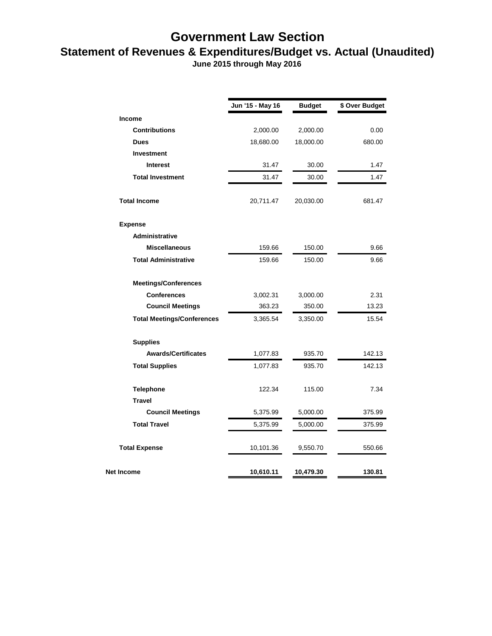## **Government Law Section Statement of Revenues & Expenditures/Budget vs. Actual (Unaudited)**

 **June 2015 through May 2016**

|                                   | Jun '15 - May 16 | <b>Budget</b> | \$ Over Budget |
|-----------------------------------|------------------|---------------|----------------|
| <b>Income</b>                     |                  |               |                |
| <b>Contributions</b>              | 2,000.00         | 2,000.00      | 0.00           |
| <b>Dues</b>                       | 18,680.00        | 18,000.00     | 680.00         |
| Investment                        |                  |               |                |
| Interest                          | 31.47            | 30.00         | 1.47           |
| <b>Total Investment</b>           | 31.47            | 30.00         | 1.47           |
| <b>Total Income</b>               | 20,711.47        | 20,030.00     | 681.47         |
| <b>Expense</b>                    |                  |               |                |
| <b>Administrative</b>             |                  |               |                |
| <b>Miscellaneous</b>              | 159.66           | 150.00        | 9.66           |
| <b>Total Administrative</b>       | 159.66           | 150.00        | 9.66           |
| <b>Meetings/Conferences</b>       |                  |               |                |
| <b>Conferences</b>                | 3,002.31         | 3,000.00      | 2.31           |
| <b>Council Meetings</b>           | 363.23           | 350.00        | 13.23          |
| <b>Total Meetings/Conferences</b> | 3,365.54         | 3,350.00      | 15.54          |
| <b>Supplies</b>                   |                  |               |                |
| <b>Awards/Certificates</b>        | 1,077.83         | 935.70        | 142.13         |
| <b>Total Supplies</b>             | 1,077.83         | 935.70        | 142.13         |
| <b>Telephone</b>                  | 122.34           | 115.00        | 7.34           |
| <b>Travel</b>                     |                  |               |                |
| <b>Council Meetings</b>           | 5,375.99         | 5,000.00      | 375.99         |
| <b>Total Travel</b>               | 5,375.99         | 5,000.00      | 375.99         |
| <b>Total Expense</b>              | 10,101.36        | 9,550.70      | 550.66         |
| Net Income                        | 10,610.11        | 10,479.30     | 130.81         |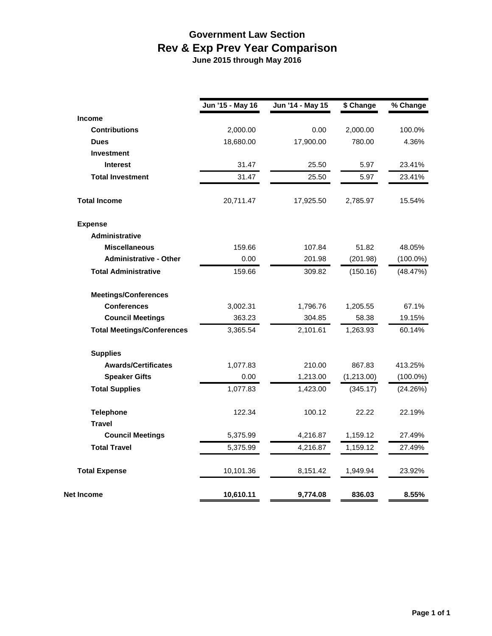## **Government Law Section Rev & Exp Prev Year Comparison**

|  | June 2015 through May 2016 |
|--|----------------------------|
|--|----------------------------|

|                                   | Jun '15 - May 16 | Jun '14 - May 15 | \$ Change  | % Change    |
|-----------------------------------|------------------|------------------|------------|-------------|
|                                   |                  |                  |            |             |
| <b>Income</b>                     |                  |                  |            |             |
| <b>Contributions</b>              | 2,000.00         | 0.00             | 2,000.00   | 100.0%      |
| <b>Dues</b>                       | 18,680.00        | 17,900.00        | 780.00     | 4.36%       |
| <b>Investment</b>                 |                  |                  |            |             |
| <b>Interest</b>                   | 31.47            | 25.50            | 5.97       | 23.41%      |
| <b>Total Investment</b>           | 31.47            | 25.50            | 5.97       | 23.41%      |
| <b>Total Income</b>               | 20,711.47        | 17,925.50        | 2,785.97   | 15.54%      |
| <b>Expense</b>                    |                  |                  |            |             |
| <b>Administrative</b>             |                  |                  |            |             |
| <b>Miscellaneous</b>              | 159.66           | 107.84           | 51.82      | 48.05%      |
| <b>Administrative - Other</b>     | 0.00             | 201.98           | (201.98)   | $(100.0\%)$ |
| <b>Total Administrative</b>       | 159.66           | 309.82           | (150.16)   | (48.47%)    |
| <b>Meetings/Conferences</b>       |                  |                  |            |             |
| <b>Conferences</b>                | 3,002.31         | 1,796.76         | 1,205.55   | 67.1%       |
| <b>Council Meetings</b>           | 363.23           | 304.85           | 58.38      | 19.15%      |
| <b>Total Meetings/Conferences</b> | 3,365.54         | 2,101.61         | 1,263.93   | 60.14%      |
| <b>Supplies</b>                   |                  |                  |            |             |
| <b>Awards/Certificates</b>        | 1,077.83         | 210.00           | 867.83     | 413.25%     |
| <b>Speaker Gifts</b>              | 0.00             | 1,213.00         | (1,213.00) | $(100.0\%)$ |
| <b>Total Supplies</b>             | 1,077.83         | 1,423.00         | (345.17)   | (24.26%)    |
| <b>Telephone</b>                  | 122.34           | 100.12           | 22.22      | 22.19%      |
| <b>Travel</b>                     |                  |                  |            |             |
| <b>Council Meetings</b>           | 5,375.99         | 4,216.87         | 1,159.12   | 27.49%      |
| <b>Total Travel</b>               | 5,375.99         | 4,216.87         | 1,159.12   | 27.49%      |
| <b>Total Expense</b>              | 10,101.36        | 8,151.42         | 1,949.94   | 23.92%      |
| Net Income                        | 10,610.11        | 9,774.08         | 836.03     | 8.55%       |